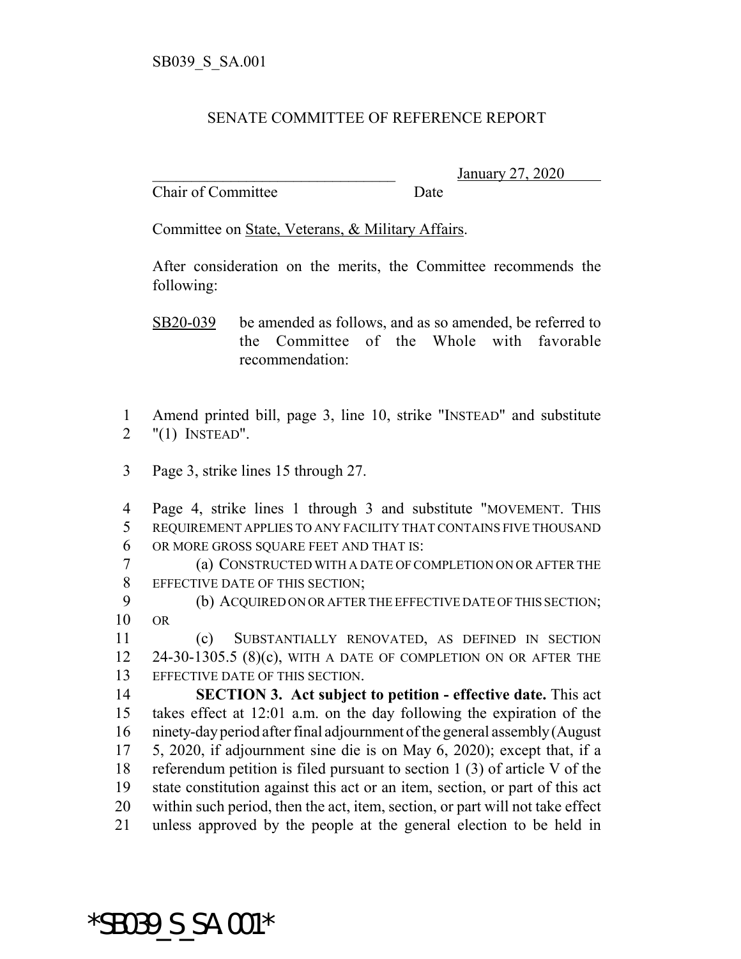## SENATE COMMITTEE OF REFERENCE REPORT

Chair of Committee Date

\_\_\_\_\_\_\_\_\_\_\_\_\_\_\_\_\_\_\_\_\_\_\_\_\_\_\_\_\_\_\_ January 27, 2020

Committee on State, Veterans, & Military Affairs.

After consideration on the merits, the Committee recommends the following:

SB20-039 be amended as follows, and as so amended, be referred to the Committee of the Whole with favorable recommendation:

 Amend printed bill, page 3, line 10, strike "INSTEAD" and substitute "(1) INSTEAD".

Page 3, strike lines 15 through 27.

 Page 4, strike lines 1 through 3 and substitute "MOVEMENT. THIS REQUIREMENT APPLIES TO ANY FACILITY THAT CONTAINS FIVE THOUSAND OR MORE GROSS SQUARE FEET AND THAT IS:

 (a) CONSTRUCTED WITH A DATE OF COMPLETION ON OR AFTER THE EFFECTIVE DATE OF THIS SECTION;

9 (b) ACQUIRED ON OR AFTER THE EFFECTIVE DATE OF THIS SECTION; OR

 (c) SUBSTANTIALLY RENOVATED, AS DEFINED IN SECTION 24-30-1305.5 (8)(c), WITH A DATE OF COMPLETION ON OR AFTER THE EFFECTIVE DATE OF THIS SECTION.

 **SECTION 3. Act subject to petition - effective date.** This act takes effect at 12:01 a.m. on the day following the expiration of the ninety-day period after final adjournment of the general assembly (August 5, 2020, if adjournment sine die is on May 6, 2020); except that, if a referendum petition is filed pursuant to section 1 (3) of article V of the state constitution against this act or an item, section, or part of this act within such period, then the act, item, section, or part will not take effect unless approved by the people at the general election to be held in

\*SB039\_S\_SA.001\*